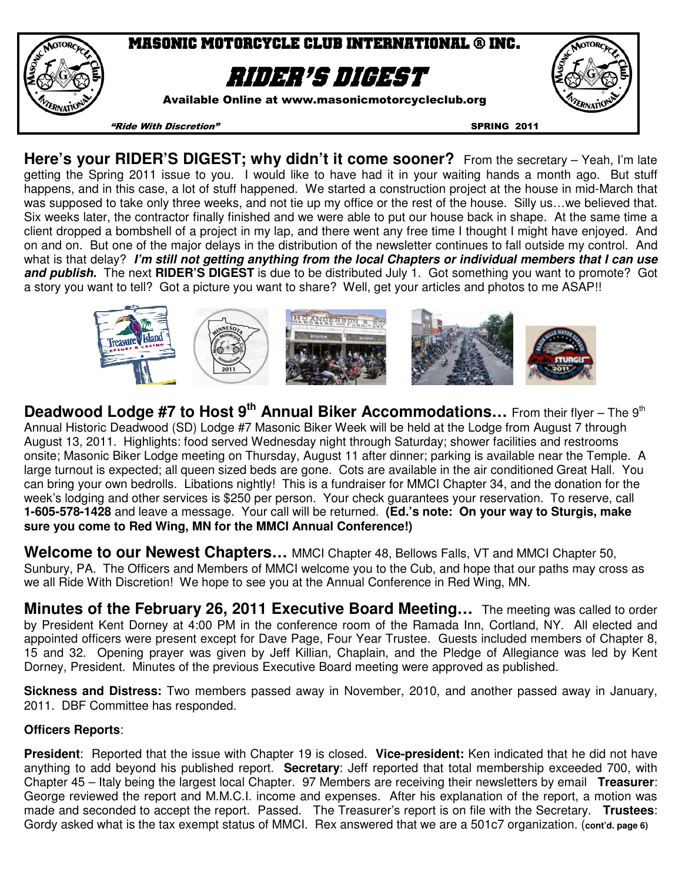

**Here's your RIDER'S DIGEST; why didn't it come sooner?** From the secretary – Yeah, I'm late getting the Spring 2011 issue to you. I would like to have had it in your waiting hands a month ago. But stuff happens, and in this case, a lot of stuff happened. We started a construction project at the house in mid-March that was supposed to take only three weeks, and not tie up my office or the rest of the house. Silly us...we believed that. Six weeks later, the contractor finally finished and we were able to put our house back in shape. At the same time a client dropped a bombshell of a project in my lap, and there went any free time I thought I might have enjoyed. And on and on. But one of the major delays in the distribution of the newsletter continues to fall outside my control. And what is that delay? **I'm still not getting anything from the local Chapters or individual members that I can use and publish.** The next **RIDER'S DIGEST** is due to be distributed July 1. Got something you want to promote? Got a story you want to tell? Got a picture you want to share? Well, get your articles and photos to me ASAP!!



**Deadwood Lodge #7 to Host 9<sup>th</sup> Annual Biker Accommodations...** From their flyer – The 9<sup>th</sup> Annual Historic Deadwood (SD) Lodge #7 Masonic Biker Week will be held at the Lodge from August 7 through August 13, 2011. Highlights: food served Wednesday night through Saturday; shower facilities and restrooms onsite; Masonic Biker Lodge meeting on Thursday, August 11 after dinner; parking is available near the Temple. A large turnout is expected; all queen sized beds are gone. Cots are available in the air conditioned Great Hall. You can bring your own bedrolls. Libations nightly! This is a fundraiser for MMCI Chapter 34, and the donation for the week's lodging and other services is \$250 per person. Your check guarantees your reservation. To reserve, call **1-605-578-1428** and leave a message. Your call will be returned. **(Ed.'s note: On your way to Sturgis, make sure you come to Red Wing, MN for the MMCI Annual Conference!)** 

**Welcome to our Newest Chapters…** MMCI Chapter 48, Bellows Falls, VT and MMCI Chapter 50, Sunbury, PA. The Officers and Members of MMCI welcome you to the Cub, and hope that our paths may cross as we all Ride With Discretion! We hope to see you at the Annual Conference in Red Wing, MN.

**Minutes of the February 26, 2011 Executive Board Meeting…** The meeting was called to order by President Kent Dorney at 4:00 PM in the conference room of the Ramada Inn, Cortland, NY. All elected and appointed officers were present except for Dave Page, Four Year Trustee. Guests included members of Chapter 8, 15 and 32. Opening prayer was given by Jeff Killian, Chaplain, and the Pledge of Allegiance was led by Kent Dorney, President. Minutes of the previous Executive Board meeting were approved as published.

**Sickness and Distress:** Two members passed away in November, 2010, and another passed away in January, 2011. DBF Committee has responded.

# **Officers Reports**:

**President**: Reported that the issue with Chapter 19 is closed. **Vice-president:** Ken indicated that he did not have anything to add beyond his published report. **Secretary**: Jeff reported that total membership exceeded 700, with Chapter 45 – Italy being the largest local Chapter. 97 Members are receiving their newsletters by email **Treasurer**: George reviewed the report and M.M.C.I. income and expenses. After his explanation of the report, a motion was made and seconded to accept the report. Passed. The Treasurer's report is on file with the Secretary. **Trustees**: Gordy asked what is the tax exempt status of MMCI. Rex answered that we are a 501c7 organization. (**cont'd. page 6)**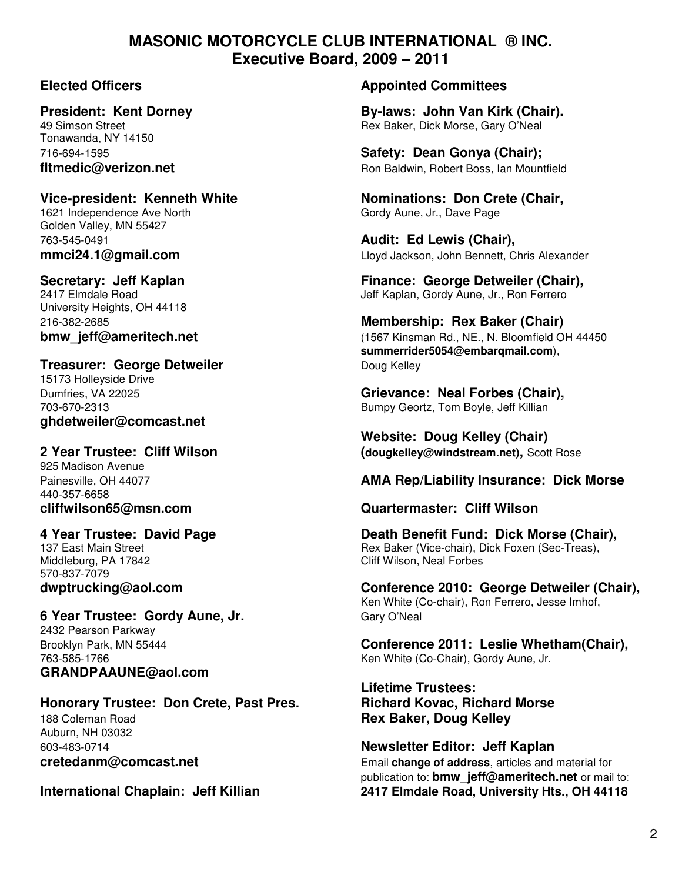# **MASONIC MOTORCYCLE CLUB INTERNATIONAL ® INC. Executive Board, 2009 – 2011**

Tonawanda, NY 14150

# 1621 Independence Ave North Gordy Aune, Jr., Dave Page

Golden Valley, MN 55427 763-545-0491 **Audit: Ed Lewis (Chair),** 

University Heights, OH 44118

# **Treasurer: George Detweiler Communist Communist Communist Communist Communist Communist Communist Communist Communist Communist Communist Communist Communist Communist Communist Communist Communist Communist Communist C**

15173 Holleyside Drive **ghdetweiler@comcast.net** 

925 Madison Avenue 440-357-6658

Middleburg, PA 17842 Cliff Wilson, Neal Forbes 570-837-7079

# **6 Year Trustee: Gordy Aune, Jr. Gary O'Neal**

2432 Pearson Parkway **GRANDPAAUNE@aol.com** 

# **Honorary Trustee: Don Crete, Past Pres. Richard Kovac, Richard Morse**  188 Coleman Road **Rex Baker, Doug Kelley** Auburn, NH 03032

## **Elected Officers Appointed Committees**

**President: Kent Dorney and State By-laws: John Van Kirk (Chair).**<br>49 Simson Street **By-laws: Bex Baker. Dick Morse. Gary O'Neal** Rex Baker, Dick Morse, Gary O'Neal

716-694-1595 **Safety: Dean Gonya (Chair); fltmedic@verizon.net** and **Ron Baldwin, Robert Boss, Ian Mountfield** 

Vice-president: Kenneth White **Nominations: Don Crete (Chair,**  $\overline{\phantom{a}}$ 

**mmci24.1@gmail.com** Lloyd Jackson, John Bennett, Chris Alexander

**Secretary: Jeff Kaplan Finance: George Detweiler (Chair), Finance: George Detweiler (Chair), 2417 Elmdale Road** Jeff Kaplan, Gordy Aune, Jr., Ron Ferrero

# 216-382-2685 **Membership: Rex Baker (Chair) bmw\_jeff@ameritech.net bmw\_jeff@ameritech.net compared and the set of the set of the set of the set of the set of the set of the set of the set of the set of the set of the set of the set of the set of the set of the summerrider5054@embarqmail.com**),

Dumfries, VA 22025 **Grievance: Neal Forbes (Chair),**  703-670-2313 Bumpy Geortz, Tom Boyle, Jeff Killian

 **Website: Doug Kelley (Chair) 2 Year Trustee: Cliff Wilson (dougkelley@windstream.net),** Scott Rose

# Painesville, OH 44077 **AMA Rep/Liability Insurance: Dick Morse**

# **cliffwilson65@msn.com Quartermaster: Cliff Wilson**

**4 Year Trustee: David Page Death Benefit Fund: Dick Morse (Chair),**  137 East Main Street **Research Reading Communist Communist Communist Communist Communist Communist Communist Communist Communist Communist Communist Communist Communist Communist Communist Communist Communist Communist Com** 

**dwptrucking@aol.com Conference 2010: George Detweiler (Chair),**  Ken White (Co-chair), Ron Ferrero, Jesse Imhof,

Brooklyn Park, MN 55444 **Conference 2011: Leslie Whetham(Chair),**  763-585-1766 Ken White (Co-Chair), Gordy Aune, Jr.

**Lifetime Trustees:**

603-483-0714 **Newsletter Editor: Jeff Kaplan cretedanm@comcast.net Email change of address**, articles and material for publication to: **bmw\_jeff@ameritech.net** or mail to: **International Chaplain: Jeff Killian 2417 Elmdale Road, University Hts., OH 44118**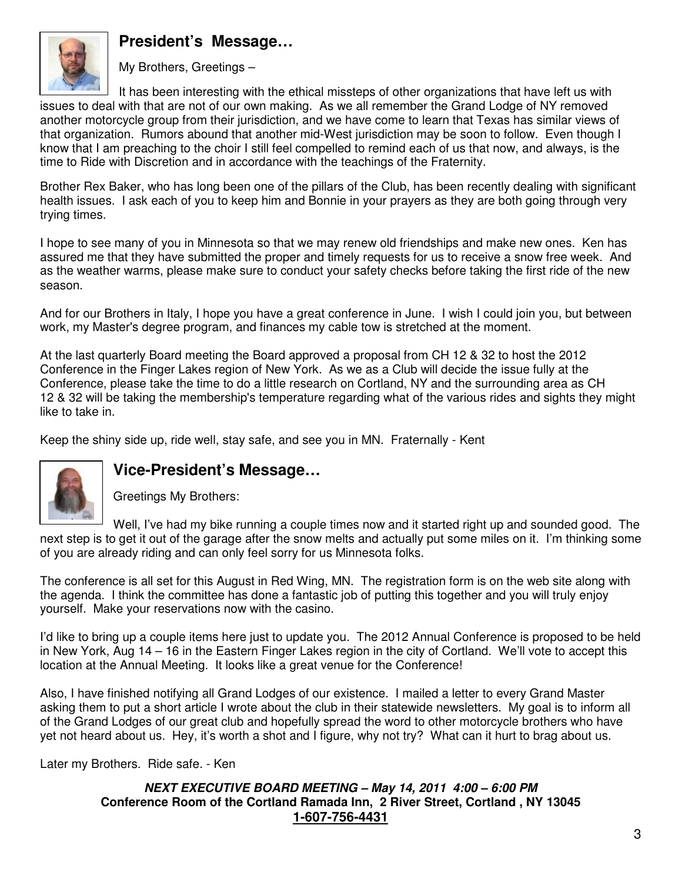# **President's Message…**



My Brothers, Greetings –

It has been interesting with the ethical missteps of other organizations that have left us with issues to deal with that are not of our own making. As we all remember the Grand Lodge of NY removed another motorcycle group from their jurisdiction, and we have come to learn that Texas has similar views of that organization. Rumors abound that another mid-West jurisdiction may be soon to follow. Even though I know that I am preaching to the choir I still feel compelled to remind each of us that now, and always, is the time to Ride with Discretion and in accordance with the teachings of the Fraternity.

Brother Rex Baker, who has long been one of the pillars of the Club, has been recently dealing with significant health issues. I ask each of you to keep him and Bonnie in your prayers as they are both going through very trying times.

I hope to see many of you in Minnesota so that we may renew old friendships and make new ones. Ken has assured me that they have submitted the proper and timely requests for us to receive a snow free week. And as the weather warms, please make sure to conduct your safety checks before taking the first ride of the new season.

And for our Brothers in Italy, I hope you have a great conference in June. I wish I could join you, but between work, my Master's degree program, and finances my cable tow is stretched at the moment.

At the last quarterly Board meeting the Board approved a proposal from CH 12 & 32 to host the 2012 Conference in the Finger Lakes region of New York. As we as a Club will decide the issue fully at the Conference, please take the time to do a little research on Cortland, NY and the surrounding area as CH 12 & 32 will be taking the membership's temperature regarding what of the various rides and sights they might like to take in.

Keep the shiny side up, ride well, stay safe, and see you in MN. Fraternally - Kent



# **Vice-President's Message…**

Greetings My Brothers:

Well, I've had my bike running a couple times now and it started right up and sounded good. The next step is to get it out of the garage after the snow melts and actually put some miles on it. I'm thinking some of you are already riding and can only feel sorry for us Minnesota folks.

The conference is all set for this August in Red Wing, MN. The registration form is on the web site along with the agenda. I think the committee has done a fantastic job of putting this together and you will truly enjoy yourself. Make your reservations now with the casino.

I'd like to bring up a couple items here just to update you. The 2012 Annual Conference is proposed to be held in New York, Aug 14 – 16 in the Eastern Finger Lakes region in the city of Cortland. We'll vote to accept this location at the Annual Meeting. It looks like a great venue for the Conference!

Also, I have finished notifying all Grand Lodges of our existence. I mailed a letter to every Grand Master asking them to put a short article I wrote about the club in their statewide newsletters. My goal is to inform all of the Grand Lodges of our great club and hopefully spread the word to other motorcycle brothers who have yet not heard about us. Hey, it's worth a shot and I figure, why not try? What can it hurt to brag about us.

Later my Brothers. Ride safe. - Ken

### **NEXT EXECUTIVE BOARD MEETING – May 14, 2011 4:00 – 6:00 PM Conference Room of the Cortland Ramada Inn, 2 River Street, Cortland , NY 13045 1-607-756-4431**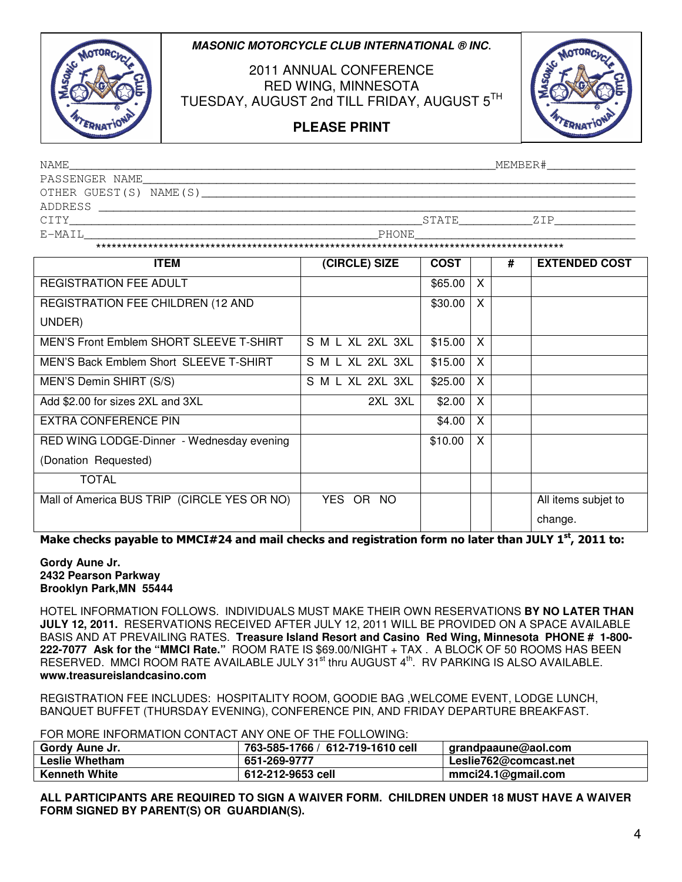### **MASONIC MOTORCYCLE CLUB INTERNATIONAL ® INC**.



2011 ANNUAL CONFERENCE RED WING, MINNESOTA TUESDAY, AUGUST 2nd TILL FRIDAY, AUGUST 5TH



# **PLEASE PRINT**

| NAME                   | MEMBER#       |
|------------------------|---------------|
| PASSENGER NAME         |               |
| OTHER GUEST(S) NAME(S) |               |
| ADDRESS                |               |
| CITY                   | STATE<br>7. T |
| E-MAIL                 | PHONE         |

\*\*\*\*\*\*\*\*\*\*\*\*\*\*\*\*\*\*\*\*\*\*\*\*\*\*\*\*\*\*\*\*\*\*\*\*\*\*\*\*\*\*\*\*\*\*\*\*\*\*\*\*\*\*\*\*\*\*\*\*\*\*\*\*\*\*\*\*\*\*\*\*\*\*\*\*\*\*\*\*\*\*\*\*\*\*\*\*\*\*

| <b>ITEM</b>                                 | (CIRCLE) SIZE    | <b>COST</b> |   | # | <b>EXTENDED COST</b> |
|---------------------------------------------|------------------|-------------|---|---|----------------------|
| <b>REGISTRATION FEE ADULT</b>               |                  | \$65.00     | X |   |                      |
| REGISTRATION FEE CHILDREN (12 AND           |                  | \$30.00     | X |   |                      |
| UNDER)                                      |                  |             |   |   |                      |
| MEN'S Front Emblem SHORT SLEEVE T-SHIRT     | S M L XL 2XL 3XL | \$15.00     | X |   |                      |
| MEN'S Back Emblem Short SLEEVE T-SHIRT      | S M L XL 2XL 3XL | \$15.00     | X |   |                      |
| MEN'S Demin SHIRT (S/S)                     | S M L XL 2XL 3XL | \$25.00     | X |   |                      |
| Add \$2.00 for sizes 2XL and 3XL            | 2XL 3XL          | \$2.00      | X |   |                      |
| EXTRA CONFERENCE PIN                        |                  | \$4.00      | X |   |                      |
| RED WING LODGE-Dinner - Wednesday evening   |                  | \$10.00     | X |   |                      |
| (Donation Requested)                        |                  |             |   |   |                      |
| <b>TOTAL</b>                                |                  |             |   |   |                      |
| Mall of America BUS TRIP (CIRCLE YES OR NO) | YES.<br>OR NO    |             |   |   | All items subjet to  |
|                                             |                  |             |   |   | change.              |

Make checks payable to MMCI#24 and mail checks and registration form no later than JULY 1st, 2011 to:

### **Gordy Aune Jr. 2432 Pearson Parkway Brooklyn Park,MN 55444**

HOTEL INFORMATION FOLLOWS. INDIVIDUALS MUST MAKE THEIR OWN RESERVATIONS **BY NO LATER THAN JULY 12, 2011.** RESERVATIONS RECEIVED AFTER JULY 12, 2011 WILL BE PROVIDED ON A SPACE AVAILABLE BASIS AND AT PREVAILING RATES. **Treasure Island Resort and Casino Red Wing, Minnesota PHONE # 1-800- 222-7077 Ask for the "MMCI Rate."** ROOM RATE IS \$69.00/NIGHT + TAX . A BLOCK OF 50 ROOMS HAS BEEN RESERVED. MMCI ROOM RATE AVAILABLE JULY 31<sup>st</sup> thru AUGUST 4<sup>th</sup>. RV PARKING IS ALSO AVAILABLE. **www.treasureislandcasino.com**

REGISTRATION FEE INCLUDES: HOSPITALITY ROOM, GOODIE BAG ,WELCOME EVENT, LODGE LUNCH, BANQUET BUFFET (THURSDAY EVENING), CONFERENCE PIN, AND FRIDAY DEPARTURE BREAKFAST.

FOR MORE INFORMATION CONTACT ANY ONE OF THE FOLLOWING:

| Gordy Aune Jr.       | 763-585-1766 / 612-719-1610 cell | grandpaaune@aol.com   |
|----------------------|----------------------------------|-----------------------|
| Leslie Whetham       | 651-269-9777                     | Leslie762@comcast.net |
| <b>Kenneth White</b> | 612-212-9653 cell                | mmci24.1@gmail.com    |

**ALL PARTICIPANTS ARE REQUIRED TO SIGN A WAIVER FORM. CHILDREN UNDER 18 MUST HAVE A WAIVER FORM SIGNED BY PARENT(S) OR GUARDIAN(S).**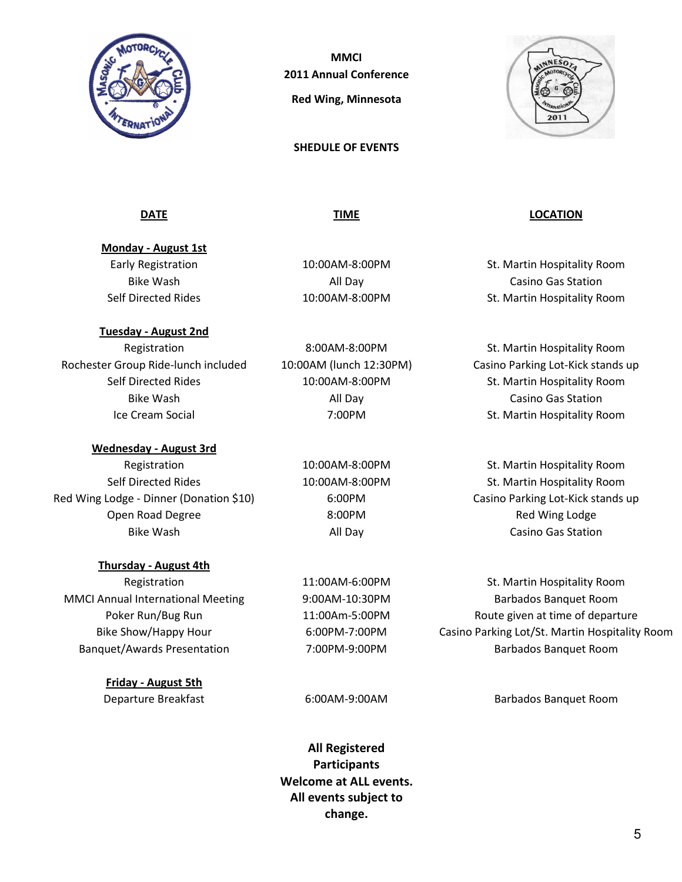

**MMCI** 2011 Annual Conference Red Wing, Minnesota

SHEDULE OF EVENTS



Monday - August 1st

Tuesday - August 2nd

Rochester Group Ride-lunch included 10:00AM (lunch 12:30PM) Casino Parking Lot-Kick stands up

Wednesday - August 3rd

Red Wing Lodge - Dinner (Donation \$10) 6:00PM Casino Parking Lot-Kick stands up Open Road Degree **8:00PM** 8:00PM Red Wing Lodge

### Thursday - August 4th

MMCI Annual International Meeting 9:00AM-10:30PM Barbados Banquet Room

Friday - August 5th

Bike Wash **All Day** All Day **Casino Gas Station** 

DATE TIME LOCATION

Early Registration 10:00AM-8:00PM St. Martin Hospitality Room Bike Wash **All Day** All Day **Casino Gas Station** Self Directed Rides **10:00AM-8:00PM** Self Directed Rides and Richards and St. Martin Hospitality Room

Registration 8:00AM-8:00PM St. Martin Hospitality Room Self Directed Rides 10:00AM-8:00PM St. Martin Hospitality Room Ice Cream Social **St. Martin Hospitality Room** 7:00PM St. Martin Hospitality Room

Registration 10:00AM-8:00PM St. Martin Hospitality Room Self Directed Rides **10:00AM-8:00PM** St. Martin Hospitality Room Bike Wash **All Day Casino Gas Station Casino Gas Station** 

Registration 11:00AM-6:00PM St. Martin Hospitality Room Poker Run/Bug Run 11:00Am-5:00PM Route given at time of departure Bike Show/Happy Hour 6:00PM-7:00PM Casino Parking Lot/St. Martin Hospitality Room Banquet/Awards Presentation 7:00PM-9:00PM Barbados Banquet Room

Departure Breakfast 6:00AM-9:00AM Barbados Banquet Room

All Registered **Participants** Welcome at ALL events. All events subject to change.